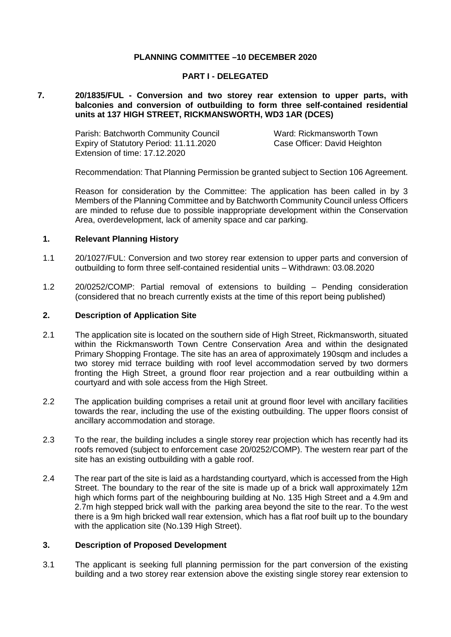# **PLANNING COMMITTEE –10 DECEMBER 2020**

## **PART I - DELEGATED**

### **7. 20/1835/FUL - Conversion and two storey rear extension to upper parts, with balconies and conversion of outbuilding to form three self-contained residential units at 137 HIGH STREET, RICKMANSWORTH, WD3 1AR (DCES)**

Parish: Batchworth Community Council Ward: Rickmansworth Town Expiry of Statutory Period: 11.11.2020 Extension of time: 17.12.2020

Case Officer: David Heighton

Recommendation: That Planning Permission be granted subject to Section 106 Agreement.

Reason for consideration by the Committee: The application has been called in by 3 Members of the Planning Committee and by Batchworth Community Council unless Officers are minded to refuse due to possible inappropriate development within the Conservation Area, overdevelopment, lack of amenity space and car parking.

### **1. Relevant Planning History**

- 1.1 20/1027/FUL: Conversion and two storey rear extension to upper parts and conversion of outbuilding to form three self-contained residential units – Withdrawn: 03.08.2020
- 1.2 20/0252/COMP: Partial removal of extensions to building Pending consideration (considered that no breach currently exists at the time of this report being published)

#### **2. Description of Application Site**

- 2.1 The application site is located on the southern side of High Street, Rickmansworth, situated within the Rickmansworth Town Centre Conservation Area and within the designated Primary Shopping Frontage. The site has an area of approximately 190sqm and includes a two storey mid terrace building with roof level accommodation served by two dormers fronting the High Street, a ground floor rear projection and a rear outbuilding within a courtyard and with sole access from the High Street.
- 2.2 The application building comprises a retail unit at ground floor level with ancillary facilities towards the rear, including the use of the existing outbuilding. The upper floors consist of ancillary accommodation and storage.
- 2.3 To the rear, the building includes a single storey rear projection which has recently had its roofs removed (subject to enforcement case 20/0252/COMP). The western rear part of the site has an existing outbuilding with a gable roof.
- 2.4 The rear part of the site is laid as a hardstanding courtyard, which is accessed from the High Street. The boundary to the rear of the site is made up of a brick wall approximately 12m high which forms part of the neighbouring building at No. 135 High Street and a 4.9m and 2.7m high stepped brick wall with the parking area beyond the site to the rear. To the west there is a 9m high bricked wall rear extension, which has a flat roof built up to the boundary with the application site (No.139 High Street).

#### **3. Description of Proposed Development**

3.1 The applicant is seeking full planning permission for the part conversion of the existing building and a two storey rear extension above the existing single storey rear extension to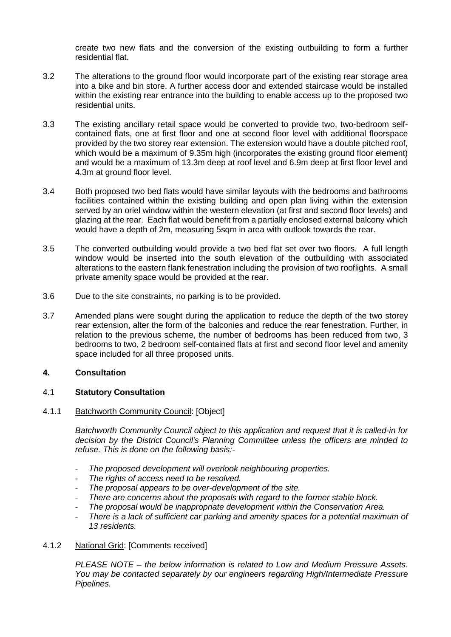create two new flats and the conversion of the existing outbuilding to form a further residential flat.

- 3.2 The alterations to the ground floor would incorporate part of the existing rear storage area into a bike and bin store. A further access door and extended staircase would be installed within the existing rear entrance into the building to enable access up to the proposed two residential units.
- 3.3 The existing ancillary retail space would be converted to provide two, two-bedroom selfcontained flats, one at first floor and one at second floor level with additional floorspace provided by the two storey rear extension. The extension would have a double pitched roof, which would be a maximum of 9.35m high (incorporates the existing ground floor element) and would be a maximum of 13.3m deep at roof level and 6.9m deep at first floor level and 4.3m at ground floor level.
- 3.4 Both proposed two bed flats would have similar layouts with the bedrooms and bathrooms facilities contained within the existing building and open plan living within the extension served by an oriel window within the western elevation (at first and second floor levels) and glazing at the rear. Each flat would benefit from a partially enclosed external balcony which would have a depth of 2m, measuring 5sqm in area with outlook towards the rear.
- 3.5 The converted outbuilding would provide a two bed flat set over two floors. A full length window would be inserted into the south elevation of the outbuilding with associated alterations to the eastern flank fenestration including the provision of two rooflights. A small private amenity space would be provided at the rear.
- 3.6 Due to the site constraints, no parking is to be provided.
- 3.7 Amended plans were sought during the application to reduce the depth of the two storey rear extension, alter the form of the balconies and reduce the rear fenestration. Further, in relation to the previous scheme, the number of bedrooms has been reduced from two, 3 bedrooms to two, 2 bedroom self-contained flats at first and second floor level and amenity space included for all three proposed units.

## **4. Consultation**

## 4.1 **Statutory Consultation**

# 4.1.1 Batchworth Community Council: [Object]

*Batchworth Community Council object to this application and request that it is called-in for decision by the District Council's Planning Committee unless the officers are minded to refuse. This is done on the following basis:-*

- *The proposed development will overlook neighbouring properties.*
- *The rights of access need to be resolved.*
- *The proposal appears to be over-development of the site.*
- *There are concerns about the proposals with regard to the former stable block.*
- *The proposal would be inappropriate development within the Conservation Area.*
- *There is a lack of sufficient car parking and amenity spaces for a potential maximum of 13 residents.*
- 4.1.2 National Grid: [Comments received]

*PLEASE NOTE – the below information is related to Low and Medium Pressure Assets. You may be contacted separately by our engineers regarding High/Intermediate Pressure Pipelines.*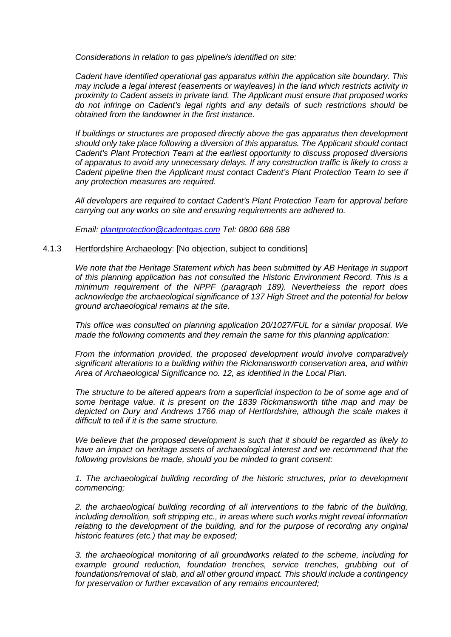*Considerations in relation to gas pipeline/s identified on site:* 

*Cadent have identified operational gas apparatus within the application site boundary. This may include a legal interest (easements or wayleaves) in the land which restricts activity in proximity to Cadent assets in private land. The Applicant must ensure that proposed works do not infringe on Cadent's legal rights and any details of such restrictions should be obtained from the landowner in the first instance.* 

*If buildings or structures are proposed directly above the gas apparatus then development should only take place following a diversion of this apparatus. The Applicant should contact Cadent's Plant Protection Team at the earliest opportunity to discuss proposed diversions of apparatus to avoid any unnecessary delays. If any construction traffic is likely to cross a Cadent pipeline then the Applicant must contact Cadent's Plant Protection Team to see if any protection measures are required.*

*All developers are required to contact Cadent's Plant Protection Team for approval before carrying out any works on site and ensuring requirements are adhered to.* 

*Email: [plantprotection@cadentgas.com](mailto:plantprotection@cadentgas.com) Tel: 0800 688 588*

### 4.1.3 Hertfordshire Archaeology: [No objection, subject to conditions]

*We note that the Heritage Statement which has been submitted by AB Heritage in support of this planning application has not consulted the Historic Environment Record. This is a minimum requirement of the NPPF (paragraph 189). Nevertheless the report does acknowledge the archaeological significance of 137 High Street and the potential for below ground archaeological remains at the site.* 

*This office was consulted on planning application 20/1027/FUL for a similar proposal. We made the following comments and they remain the same for this planning application:*

*From the information provided, the proposed development would involve comparatively significant alterations to a building within the Rickmansworth conservation area, and within Area of Archaeological Significance no. 12, as identified in the Local Plan.* 

*The structure to be altered appears from a superficial inspection to be of some age and of some heritage value. It is present on the 1839 Rickmansworth tithe map and may be depicted on Dury and Andrews 1766 map of Hertfordshire, although the scale makes it difficult to tell if it is the same structure.*

*We believe that the proposed development is such that it should be regarded as likely to have an impact on heritage assets of archaeological interest and we recommend that the following provisions be made, should you be minded to grant consent:*

*1. The archaeological building recording of the historic structures, prior to development commencing;* 

*2. the archaeological building recording of all interventions to the fabric of the building, including demolition, soft stripping etc., in areas where such works might reveal information relating to the development of the building, and for the purpose of recording any original historic features (etc.) that may be exposed;* 

*3. the archaeological monitoring of all groundworks related to the scheme, including for example ground reduction, foundation trenches, service trenches, grubbing out of foundations/removal of slab, and all other ground impact. This should include a contingency for preservation or further excavation of any remains encountered;*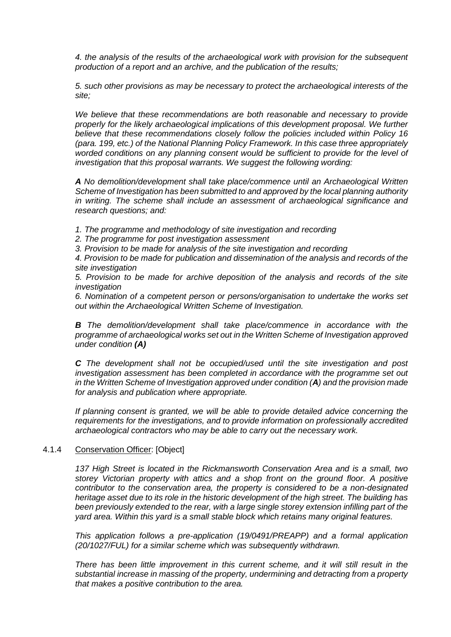*4. the analysis of the results of the archaeological work with provision for the subsequent production of a report and an archive, and the publication of the results;* 

*5. such other provisions as may be necessary to protect the archaeological interests of the site;* 

*We believe that these recommendations are both reasonable and necessary to provide properly for the likely archaeological implications of this development proposal. We further believe that these recommendations closely follow the policies included within Policy 16 (para. 199, etc.) of the National Planning Policy Framework. In this case three appropriately*  worded conditions on any planning consent would be sufficient to provide for the level of *investigation that this proposal warrants. We suggest the following wording:* 

*A No demolition/development shall take place/commence until an Archaeological Written Scheme of Investigation has been submitted to and approved by the local planning authority in writing. The scheme shall include an assessment of archaeological significance and research questions; and:* 

*1. The programme and methodology of site investigation and recording* 

*2. The programme for post investigation assessment* 

*3. Provision to be made for analysis of the site investigation and recording* 

*4. Provision to be made for publication and dissemination of the analysis and records of the site investigation* 

*5. Provision to be made for archive deposition of the analysis and records of the site investigation* 

*6. Nomination of a competent person or persons/organisation to undertake the works set out within the Archaeological Written Scheme of Investigation.* 

*B The demolition/development shall take place/commence in accordance with the programme of archaeological works set out in the Written Scheme of Investigation approved under condition (A)*

*C The development shall not be occupied/used until the site investigation and post investigation assessment has been completed in accordance with the programme set out in the Written Scheme of Investigation approved under condition (A) and the provision made for analysis and publication where appropriate.* 

*If planning consent is granted, we will be able to provide detailed advice concerning the requirements for the investigations, and to provide information on professionally accredited archaeological contractors who may be able to carry out the necessary work.*

## 4.1.4 Conservation Officer: [Object]

*137 High Street is located in the Rickmansworth Conservation Area and is a small, two storey Victorian property with attics and a shop front on the ground floor. A positive contributor to the conservation area, the property is considered to be a non-designated heritage asset due to its role in the historic development of the high street. The building has been previously extended to the rear, with a large single storey extension infilling part of the yard area. Within this yard is a small stable block which retains many original features.* 

*This application follows a pre-application (19/0491/PREAPP) and a formal application (20/1027/FUL) for a similar scheme which was subsequently withdrawn.* 

*There has been little improvement in this current scheme, and it will still result in the substantial increase in massing of the property, undermining and detracting from a property that makes a positive contribution to the area.*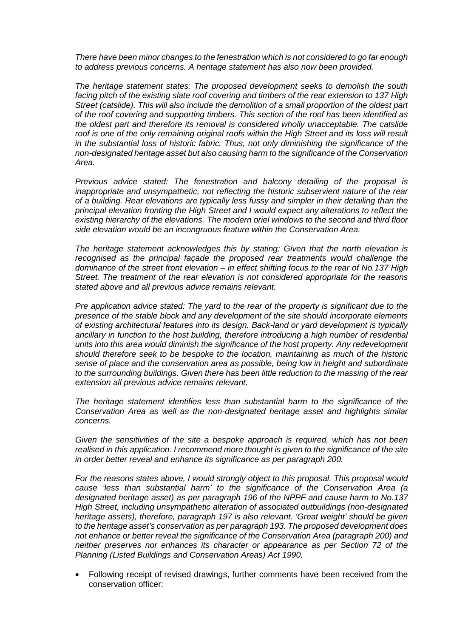*There have been minor changes to the fenestration which is not considered to go far enough to address previous concerns. A heritage statement has also now been provided.* 

*The heritage statement states: The proposed development seeks to demolish the south facing pitch of the existing slate roof covering and timbers of the rear extension to 137 High Street (catslide). This will also include the demolition of a small proportion of the oldest part of the roof covering and supporting timbers. This section of the roof has been identified as the oldest part and therefore its removal is considered wholly unacceptable. The catslide*  roof is one of the only remaining original roofs within the High Street and its loss will result *in the substantial loss of historic fabric. Thus, not only diminishing the significance of the non-designated heritage asset but also causing harm to the significance of the Conservation Area.* 

*Previous advice stated: The fenestration and balcony detailing of the proposal is inappropriate and unsympathetic, not reflecting the historic subservient nature of the rear of a building. Rear elevations are typically less fussy and simpler in their detailing than the principal elevation fronting the High Street and I would expect any alterations to reflect the existing hierarchy of the elevations. The modern oriel windows to the second and third floor side elevation would be an incongruous feature within the Conservation Area.* 

*The heritage statement acknowledges this by stating: Given that the north elevation is*  recognised as the principal façade the proposed rear treatments would challenge the *dominance of the street front elevation – in effect shifting focus to the rear of No.137 High Street. The treatment of the rear elevation is not considered appropriate for the reasons stated above and all previous advice remains relevant.* 

*Pre application advice stated: The yard to the rear of the property is significant due to the presence of the stable block and any development of the site should incorporate elements of existing architectural features into its design. Back-land or yard development is typically ancillary in function to the host building, therefore introducing a high number of residential units into this area would diminish the significance of the host property. Any redevelopment should therefore seek to be bespoke to the location, maintaining as much of the historic sense of place and the conservation area as possible, being low in height and subordinate to the surrounding buildings. Given there has been little reduction to the massing of the rear extension all previous advice remains relevant.* 

*The heritage statement identifies less than substantial harm to the significance of the Conservation Area as well as the non-designated heritage asset and highlights similar concerns.* 

*Given the sensitivities of the site a bespoke approach is required, which has not been realised in this application. I recommend more thought is given to the significance of the site in order better reveal and enhance its significance as per paragraph 200.* 

*For the reasons states above, I would strongly object to this proposal. This proposal would cause 'less than substantial harm' to the significance of the Conservation Area (a designated heritage asset) as per paragraph 196 of the NPPF and cause harm to No.137 High Street, including unsympathetic alteration of associated outbuildings (non-designated heritage assets), therefore, paragraph 197 is also relevant. 'Great weight' should be given to the heritage asset's conservation as per paragraph 193. The proposed development does not enhance or better reveal the significance of the Conservation Area (paragraph 200) and neither preserves nor enhances its character or appearance as per Section 72 of the Planning (Listed Buildings and Conservation Areas) Act 1990.*

• Following receipt of revised drawings, further comments have been received from the conservation officer: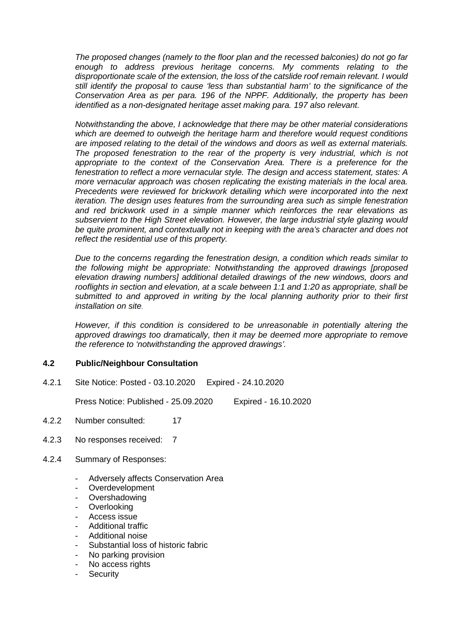*The proposed changes (namely to the floor plan and the recessed balconies) do not go far enough to address previous heritage concerns. My comments relating to the disproportionate scale of the extension, the loss of the catslide roof remain relevant. I would still identify the proposal to cause 'less than substantial harm' to the significance of the Conservation Area as per para. 196 of the NPPF. Additionally, the property has been identified as a non-designated heritage asset making para. 197 also relevant.* 

*Notwithstanding the above, I acknowledge that there may be other material considerations which are deemed to outweigh the heritage harm and therefore would request conditions are imposed relating to the detail of the windows and doors as well as external materials. The proposed fenestration to the rear of the property is very industrial, which is not*  appropriate to the context of the Conservation Area. There is a preference for the *fenestration to reflect a more vernacular style. The design and access statement, states: A more vernacular approach was chosen replicating the existing materials in the local area. Precedents were reviewed for brickwork detailing which were incorporated into the next iteration. The design uses features from the surrounding area such as simple fenestration and red brickwork used in a simple manner which reinforces the rear elevations as subservient to the High Street elevation. However, the large industrial style glazing would be quite prominent, and contextually not in keeping with the area's character and does not reflect the residential use of this property.* 

*Due to the concerns regarding the fenestration design, a condition which reads similar to the following might be appropriate: Notwithstanding the approved drawings [proposed elevation drawing numbers] additional detailed drawings of the new windows, doors and rooflights in section and elevation, at a scale between 1:1 and 1:20 as appropriate, shall be submitted to and approved in writing by the local planning authority prior to their first installation on site.*

*However, if this condition is considered to be unreasonable in potentially altering the approved drawings too dramatically, then it may be deemed more appropriate to remove the reference to 'notwithstanding the approved drawings'.* 

## **4.2 Public/Neighbour Consultation**

4.2.1 Site Notice: Posted - 03.10.2020 Expired - 24.10.2020

Press Notice: Published - 25.09.2020 Expired - 16.10.2020

- 4.2.2 Number consulted: 17
- 4.2.3 No responses received: 7
- 4.2.4 Summary of Responses:
	- Adversely affects Conservation Area
	- Overdevelopment
	- **Overshadowing**
	- Overlooking
	- Access issue
	- Additional traffic
	- Additional noise
	- Substantial loss of historic fabric
	- No parking provision
	- No access rights
	- **Security**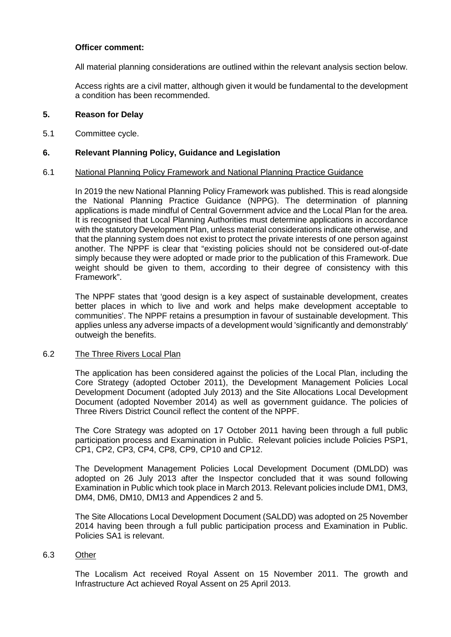## **Officer comment:**

All material planning considerations are outlined within the relevant analysis section below.

Access rights are a civil matter, although given it would be fundamental to the development a condition has been recommended.

### **5. Reason for Delay**

5.1 Committee cycle.

### **6. Relevant Planning Policy, Guidance and Legislation**

#### 6.1 National Planning Policy Framework and National Planning Practice Guidance

In 2019 the new National Planning Policy Framework was published. This is read alongside the National Planning Practice Guidance (NPPG). The determination of planning applications is made mindful of Central Government advice and the Local Plan for the area. It is recognised that Local Planning Authorities must determine applications in accordance with the statutory Development Plan, unless material considerations indicate otherwise, and that the planning system does not exist to protect the private interests of one person against another. The NPPF is clear that "existing policies should not be considered out-of-date simply because they were adopted or made prior to the publication of this Framework. Due weight should be given to them, according to their degree of consistency with this Framework".

The NPPF states that 'good design is a key aspect of sustainable development, creates better places in which to live and work and helps make development acceptable to communities'. The NPPF retains a presumption in favour of sustainable development. This applies unless any adverse impacts of a development would 'significantly and demonstrably' outweigh the benefits.

#### 6.2 The Three Rivers Local Plan

The application has been considered against the policies of the Local Plan, including the Core Strategy (adopted October 2011), the Development Management Policies Local Development Document (adopted July 2013) and the Site Allocations Local Development Document (adopted November 2014) as well as government guidance. The policies of Three Rivers District Council reflect the content of the NPPF.

The Core Strategy was adopted on 17 October 2011 having been through a full public participation process and Examination in Public. Relevant policies include Policies PSP1, CP1, CP2, CP3, CP4, CP8, CP9, CP10 and CP12.

The Development Management Policies Local Development Document (DMLDD) was adopted on 26 July 2013 after the Inspector concluded that it was sound following Examination in Public which took place in March 2013. Relevant policies include DM1, DM3, DM4, DM6, DM10, DM13 and Appendices 2 and 5.

The Site Allocations Local Development Document (SALDD) was adopted on 25 November 2014 having been through a full public participation process and Examination in Public. Policies SA1 is relevant.

### 6.3 Other

The Localism Act received Royal Assent on 15 November 2011. The growth and Infrastructure Act achieved Royal Assent on 25 April 2013.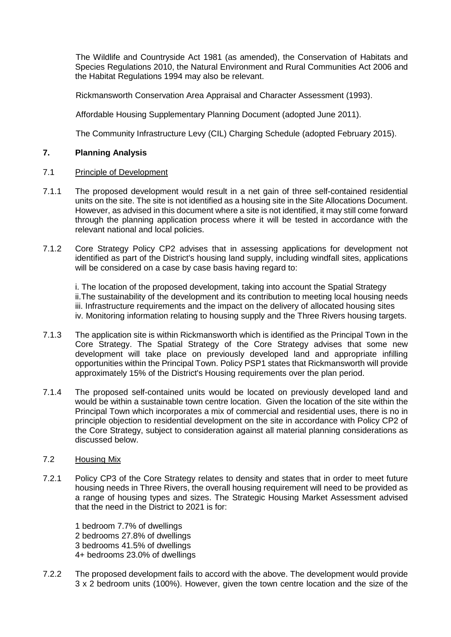The Wildlife and Countryside Act 1981 (as amended), the Conservation of Habitats and Species Regulations 2010, the Natural Environment and Rural Communities Act 2006 and the Habitat Regulations 1994 may also be relevant.

Rickmansworth Conservation Area Appraisal and Character Assessment (1993).

Affordable Housing Supplementary Planning Document (adopted June 2011).

The Community Infrastructure Levy (CIL) Charging Schedule (adopted February 2015).

# **7. Planning Analysis**

- 7.1 Principle of Development
- 7.1.1 The proposed development would result in a net gain of three self-contained residential units on the site. The site is not identified as a housing site in the Site Allocations Document. However, as advised in this document where a site is not identified, it may still come forward through the planning application process where it will be tested in accordance with the relevant national and local policies.
- 7.1.2 Core Strategy Policy CP2 advises that in assessing applications for development not identified as part of the District's housing land supply, including windfall sites, applications will be considered on a case by case basis having regard to:

i. The location of the proposed development, taking into account the Spatial Strategy ii.The sustainability of the development and its contribution to meeting local housing needs iii. Infrastructure requirements and the impact on the delivery of allocated housing sites iv. Monitoring information relating to housing supply and the Three Rivers housing targets.

- 7.1.3 The application site is within Rickmansworth which is identified as the Principal Town in the Core Strategy. The Spatial Strategy of the Core Strategy advises that some new development will take place on previously developed land and appropriate infilling opportunities within the Principal Town. Policy PSP1 states that Rickmansworth will provide approximately 15% of the District's Housing requirements over the plan period.
- 7.1.4 The proposed self-contained units would be located on previously developed land and would be within a sustainable town centre location. Given the location of the site within the Principal Town which incorporates a mix of commercial and residential uses, there is no in principle objection to residential development on the site in accordance with Policy CP2 of the Core Strategy, subject to consideration against all material planning considerations as discussed below.

## 7.2 Housing Mix

7.2.1 Policy CP3 of the Core Strategy relates to density and states that in order to meet future housing needs in Three Rivers, the overall housing requirement will need to be provided as a range of housing types and sizes. The Strategic Housing Market Assessment advised that the need in the District to 2021 is for:

1 bedroom 7.7% of dwellings 2 bedrooms 27.8% of dwellings 3 bedrooms 41.5% of dwellings 4+ bedrooms 23.0% of dwellings

7.2.2 The proposed development fails to accord with the above. The development would provide 3 x 2 bedroom units (100%). However, given the town centre location and the size of the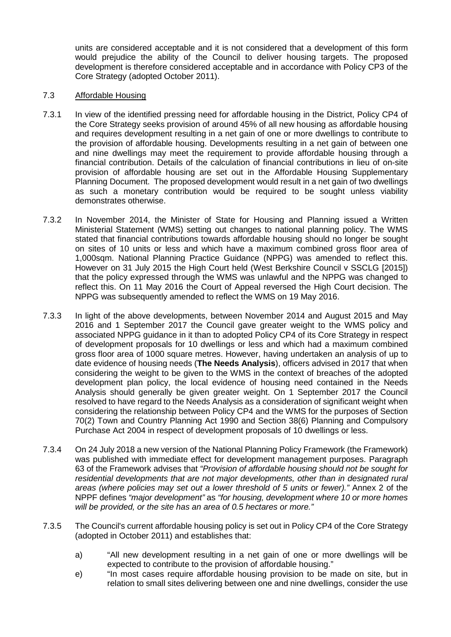units are considered acceptable and it is not considered that a development of this form would prejudice the ability of the Council to deliver housing targets. The proposed development is therefore considered acceptable and in accordance with Policy CP3 of the Core Strategy (adopted October 2011).

## 7.3 Affordable Housing

- 7.3.1 In view of the identified pressing need for affordable housing in the District, Policy CP4 of the Core Strategy seeks provision of around 45% of all new housing as affordable housing and requires development resulting in a net gain of one or more dwellings to contribute to the provision of affordable housing. Developments resulting in a net gain of between one and nine dwellings may meet the requirement to provide affordable housing through a financial contribution. Details of the calculation of financial contributions in lieu of on-site provision of affordable housing are set out in the Affordable Housing Supplementary Planning Document. The proposed development would result in a net gain of two dwellings as such a monetary contribution would be required to be sought unless viability demonstrates otherwise.
- 7.3.2 In November 2014, the Minister of State for Housing and Planning issued a Written Ministerial Statement (WMS) setting out changes to national planning policy. The WMS stated that financial contributions towards affordable housing should no longer be sought on sites of 10 units or less and which have a maximum combined gross floor area of 1,000sqm. National Planning Practice Guidance (NPPG) was amended to reflect this. However on 31 July 2015 the High Court held (West Berkshire Council v SSCLG [2015]) that the policy expressed through the WMS was unlawful and the NPPG was changed to reflect this. On 11 May 2016 the Court of Appeal reversed the High Court decision. The NPPG was subsequently amended to reflect the WMS on 19 May 2016.
- 7.3.3 In light of the above developments, between November 2014 and August 2015 and May 2016 and 1 September 2017 the Council gave greater weight to the WMS policy and associated NPPG guidance in it than to adopted Policy CP4 of its Core Strategy in respect of development proposals for 10 dwellings or less and which had a maximum combined gross floor area of 1000 square metres. However, having undertaken an analysis of up to date evidence of housing needs (**The Needs Analysis**), officers advised in 2017 that when considering the weight to be given to the WMS in the context of breaches of the adopted development plan policy, the local evidence of housing need contained in the Needs Analysis should generally be given greater weight. On 1 September 2017 the Council resolved to have regard to the Needs Analysis as a consideration of significant weight when considering the relationship between Policy CP4 and the WMS for the purposes of Section 70(2) Town and Country Planning Act 1990 and Section 38(6) Planning and Compulsory Purchase Act 2004 in respect of development proposals of 10 dwellings or less.
- 7.3.4 On 24 July 2018 a new version of the National Planning Policy Framework (the Framework) was published with immediate effect for development management purposes. Paragraph 63 of the Framework advises that *"Provision of affordable housing should not be sought for residential developments that are not major developments, other than in designated rural areas (where policies may set out a lower threshold of 5 units or fewer)."* Annex 2 of the NPPF defines *"major development"* as *"for housing, development where 10 or more homes will be provided, or the site has an area of 0.5 hectares or more."*
- 7.3.5 The Council's current affordable housing policy is set out in Policy CP4 of the Core Strategy (adopted in October 2011) and establishes that:
	- a) "All new development resulting in a net gain of one or more dwellings will be expected to contribute to the provision of affordable housing."
	- e) "In most cases require affordable housing provision to be made on site, but in relation to small sites delivering between one and nine dwellings, consider the use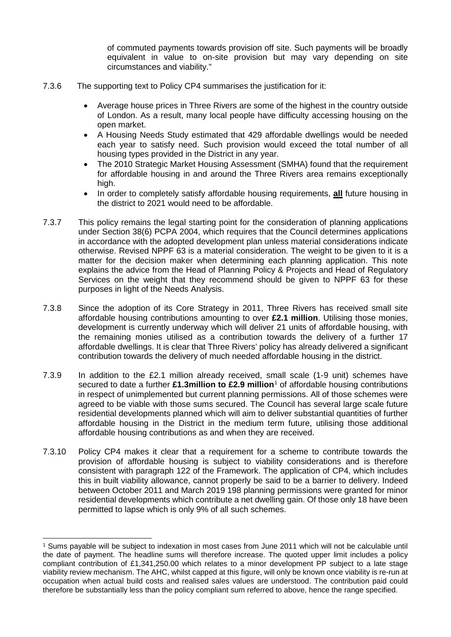of commuted payments towards provision off site. Such payments will be broadly equivalent in value to on-site provision but may vary depending on site circumstances and viability."

- 7.3.6 The supporting text to Policy CP4 summarises the justification for it:
	- Average house prices in Three Rivers are some of the highest in the country outside of London. As a result, many local people have difficulty accessing housing on the open market.
	- A Housing Needs Study estimated that 429 affordable dwellings would be needed each year to satisfy need. Such provision would exceed the total number of all housing types provided in the District in any year.
	- The 2010 Strategic Market Housing Assessment (SMHA) found that the requirement for affordable housing in and around the Three Rivers area remains exceptionally high.
	- In order to completely satisfy affordable housing requirements, **all** future housing in the district to 2021 would need to be affordable.
- 7.3.7 This policy remains the legal starting point for the consideration of planning applications under Section 38(6) PCPA 2004, which requires that the Council determines applications in accordance with the adopted development plan unless material considerations indicate otherwise. Revised NPPF 63 is a material consideration. The weight to be given to it is a matter for the decision maker when determining each planning application. This note explains the advice from the Head of Planning Policy & Projects and Head of Regulatory Services on the weight that they recommend should be given to NPPF 63 for these purposes in light of the Needs Analysis.
- 7.3.8 Since the adoption of its Core Strategy in 2011, Three Rivers has received small site affordable housing contributions amounting to over **£2.1 million**. Utilising those monies, development is currently underway which will deliver 21 units of affordable housing, with the remaining monies utilised as a contribution towards the delivery of a further 17 affordable dwellings. It is clear that Three Rivers' policy has already delivered a significant contribution towards the delivery of much needed affordable housing in the district.
- 7.3.9 In addition to the £2.1 million already received, small scale (1-9 unit) schemes have secured to date a further £[1](#page-9-0).3million to £2.9 million<sup>1</sup> of affordable housing contributions in respect of unimplemented but current planning permissions. All of those schemes were agreed to be viable with those sums secured. The Council has several large scale future residential developments planned which will aim to deliver substantial quantities of further affordable housing in the District in the medium term future, utilising those additional affordable housing contributions as and when they are received.
- 7.3.10 Policy CP4 makes it clear that a requirement for a scheme to contribute towards the provision of affordable housing is subject to viability considerations and is therefore consistent with paragraph 122 of the Framework. The application of CP4, which includes this in built viability allowance, cannot properly be said to be a barrier to delivery. Indeed between October 2011 and March 2019 198 planning permissions were granted for minor residential developments which contribute a net dwelling gain. Of those only 18 have been permitted to lapse which is only 9% of all such schemes.

<span id="page-9-0"></span> <sup>1</sup> Sums payable will be subject to indexation in most cases from June 2011 which will not be calculable until the date of payment. The headline sums will therefore increase. The quoted upper limit includes a policy compliant contribution of £1,341,250.00 which relates to a minor development PP subject to a late stage viability review mechanism. The AHC, whilst capped at this figure, will only be known once viability is re-run at occupation when actual build costs and realised sales values are understood. The contribution paid could therefore be substantially less than the policy compliant sum referred to above, hence the range specified.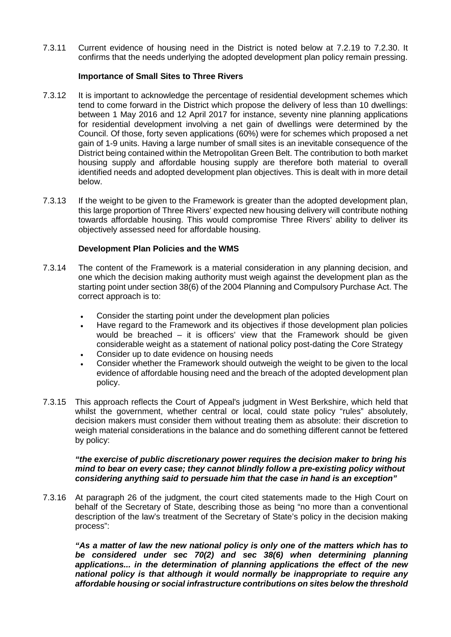7.3.11 Current evidence of housing need in the District is noted below at 7.2.19 to 7.2.30. It confirms that the needs underlying the adopted development plan policy remain pressing.

## **Importance of Small Sites to Three Rivers**

- 7.3.12 It is important to acknowledge the percentage of residential development schemes which tend to come forward in the District which propose the delivery of less than 10 dwellings: between 1 May 2016 and 12 April 2017 for instance, seventy nine planning applications for residential development involving a net gain of dwellings were determined by the Council. Of those, forty seven applications (60%) were for schemes which proposed a net gain of 1-9 units. Having a large number of small sites is an inevitable consequence of the District being contained within the Metropolitan Green Belt. The contribution to both market housing supply and affordable housing supply are therefore both material to overall identified needs and adopted development plan objectives. This is dealt with in more detail below.
- 7.3.13 If the weight to be given to the Framework is greater than the adopted development plan, this large proportion of Three Rivers' expected new housing delivery will contribute nothing towards affordable housing. This would compromise Three Rivers' ability to deliver its objectively assessed need for affordable housing.

## **Development Plan Policies and the WMS**

- 7.3.14 The content of the Framework is a material consideration in any planning decision, and one which the decision making authority must weigh against the development plan as the starting point under section 38(6) of the 2004 Planning and Compulsory Purchase Act. The correct approach is to:
	- Consider the starting point under the development plan policies
	- Have regard to the Framework and its objectives if those development plan policies would be breached – it is officers' view that the Framework should be given considerable weight as a statement of national policy post-dating the Core Strategy
	- Consider up to date evidence on housing needs
	- Consider whether the Framework should outweigh the weight to be given to the local evidence of affordable housing need and the breach of the adopted development plan policy.
- 7.3.15 This approach reflects the Court of Appeal's judgment in West Berkshire, which held that whilst the government, whether central or local, could state policy "rules" absolutely, decision makers must consider them without treating them as absolute: their discretion to weigh material considerations in the balance and do something different cannot be fettered by policy:

#### *"the exercise of public discretionary power requires the decision maker to bring his mind to bear on every case; they cannot blindly follow a pre-existing policy without considering anything said to persuade him that the case in hand is an exception"*

7.3.16 At paragraph 26 of the judgment, the court cited statements made to the High Court on behalf of the Secretary of State, describing those as being "no more than a conventional description of the law's treatment of the Secretary of State's policy in the decision making process":

*"As a matter of law the new national policy is only one of the matters which has to be considered under sec 70(2) and sec 38(6) when determining planning applications... in the determination of planning applications the effect of the new national policy is that although it would normally be inappropriate to require any affordable housing or social infrastructure contributions on sites below the threshold*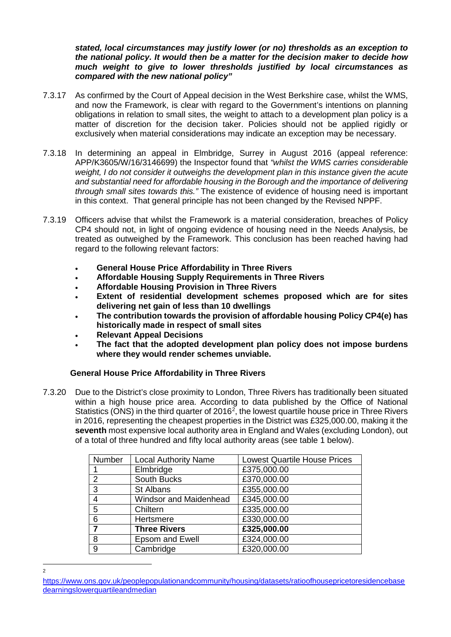### *stated, local circumstances may justify lower (or no) thresholds as an exception to the national policy. It would then be a matter for the decision maker to decide how much weight to give to lower thresholds justified by local circumstances as compared with the new national policy"*

- 7.3.17 As confirmed by the Court of Appeal decision in the West Berkshire case, whilst the WMS, and now the Framework, is clear with regard to the Government's intentions on planning obligations in relation to small sites, the weight to attach to a development plan policy is a matter of discretion for the decision taker. Policies should not be applied rigidly or exclusively when material considerations may indicate an exception may be necessary.
- 7.3.18 In determining an appeal in Elmbridge, Surrey in August 2016 (appeal reference: APP/K3605/W/16/3146699) the Inspector found that *"whilst the WMS carries considerable weight, I do not consider it outweighs the development plan in this instance given the acute and substantial need for affordable housing in the Borough and the importance of delivering through small sites towards this."* The existence of evidence of housing need is important in this context. That general principle has not been changed by the Revised NPPF.
- 7.3.19 Officers advise that whilst the Framework is a material consideration, breaches of Policy CP4 should not, in light of ongoing evidence of housing need in the Needs Analysis, be treated as outweighed by the Framework. This conclusion has been reached having had regard to the following relevant factors:
	- **General House Price Affordability in Three Rivers**
	- **Affordable Housing Supply Requirements in Three Rivers**
	- **Affordable Housing Provision in Three Rivers**
	- **Extent of residential development schemes proposed which are for sites delivering net gain of less than 10 dwellings**
	- **The contribution towards the provision of affordable housing Policy CP4(e) has historically made in respect of small sites**
	- **Relevant Appeal Decisions**

 $\frac{1}{2}$ 

 $\overline{2}$ 

• **The fact that the adopted development plan policy does not impose burdens where they would render schemes unviable.** 

## **General House Price Affordability in Three Rivers**

7.3.20 Due to the District's close proximity to London, Three Rivers has traditionally been situated within a high house price area. According to data published by the Office of National Statistics (ONS) in the third quarter of 2016<sup>2</sup>, the lowest quartile house price in Three Rivers in 2016, representing the cheapest properties in the District was £325,000.00, making it the **seventh** most expensive local authority area in England and Wales (excluding London), out of a total of three hundred and fifty local authority areas (see table 1 below).

| Number | <b>Local Authority Name</b>   | <b>Lowest Quartile House Prices</b> |
|--------|-------------------------------|-------------------------------------|
|        | Elmbridge                     | £375,000.00                         |
| 2      | South Bucks                   | £370,000.00                         |
| 3      | <b>St Albans</b>              | £355,000.00                         |
| 4      | <b>Windsor and Maidenhead</b> | £345,000.00                         |
| 5      | Chiltern                      | £335,000.00                         |
| 6      | Hertsmere                     | £330,000.00                         |
| 7      | <b>Three Rivers</b>           | £325,000.00                         |
| 8      | <b>Epsom and Ewell</b>        | £324,000.00                         |
| 9      | Cambridge                     | £320,000.00                         |

<span id="page-11-0"></span>[https://www.ons.gov.uk/peoplepopulationandcommunity/housing/datasets/ratioofhousepricetoresidencebase](https://www.ons.gov.uk/peoplepopulationandcommunity/housing/datasets/ratioofhousepricetoresidencebasedearningslowerquartileandmedian) dearningslowerquartileandmedian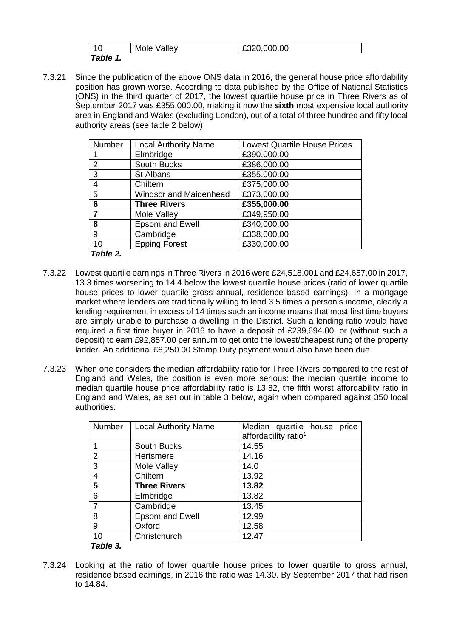| 10          | Mole Valley | £320,000.00 |
|-------------|-------------|-------------|
| Table 1<br> |             |             |

7.3.21 Since the publication of the above ONS data in 2016, the general house price affordability position has grown worse. According to data published by the Office of National Statistics (ONS) in the third quarter of 2017, the lowest quartile house price in Three Rivers as of September 2017 was £355,000.00, making it now the **sixth** most expensive local authority area in England and Wales (excluding London), out of a total of three hundred and fifty local authority areas (see table 2 below).

| Number         | <b>Local Authority Name</b>   | <b>Lowest Quartile House Prices</b> |
|----------------|-------------------------------|-------------------------------------|
|                | Elmbridge                     | £390,000.00                         |
| 2              | South Bucks                   | £386,000.00                         |
| 3              | St Albans                     | £355,000.00                         |
| 4              | Chiltern                      | £375,000.00                         |
| 5              | <b>Windsor and Maidenhead</b> | £373,000.00                         |
| 6              | <b>Three Rivers</b>           | £355,000.00                         |
| $\overline{7}$ | Mole Valley                   | £349,950.00                         |
| 8              | <b>Epsom and Ewell</b>        | £340,000.00                         |
| 9              | Cambridge                     | £338,000.00                         |
| 10             | <b>Epping Forest</b>          | £330,000.00                         |
| Table 2.       |                               |                                     |

7.3.22 Lowest quartile earnings in Three Rivers in 2016 were £24,518.001 and £24,657.00 in 2017,

- 13.3 times worsening to 14.4 below the lowest quartile house prices (ratio of lower quartile house prices to lower quartile gross annual, residence based earnings). In a mortgage market where lenders are traditionally willing to lend 3.5 times a person's income, clearly a lending requirement in excess of 14 times such an income means that most first time buyers are simply unable to purchase a dwelling in the District. Such a lending ratio would have required a first time buyer in 2016 to have a deposit of £239,694.00, or (without such a deposit) to earn £92,857.00 per annum to get onto the lowest/cheapest rung of the property ladder. An additional £6,250.00 Stamp Duty payment would also have been due.
- 7.3.23 When one considers the median affordability ratio for Three Rivers compared to the rest of England and Wales, the position is even more serious: the median quartile income to median quartile house price affordability ratio is 13.82, the fifth worst affordability ratio in England and Wales, as set out in table 3 below, again when compared against 350 local authorities.

| <b>Number</b>  | <b>Local Authority Name</b> | price<br>Median quartile house<br>affordability ratio <sup>1</sup> |
|----------------|-----------------------------|--------------------------------------------------------------------|
|                | South Bucks                 | 14.55                                                              |
| 2              | Hertsmere                   | 14.16                                                              |
| 3              | Mole Valley                 | 14.0                                                               |
| $\overline{4}$ | Chiltern                    | 13.92                                                              |
| 5              | <b>Three Rivers</b>         | 13.82                                                              |
| 6              | Elmbridge                   | 13.82                                                              |
|                | Cambridge                   | 13.45                                                              |
| 8              | <b>Epsom and Ewell</b>      | 12.99                                                              |
| 9              | Oxford                      | 12.58                                                              |
| 10             | Christchurch                | 12.47                                                              |
| Table 3.       |                             |                                                                    |

7.3.24 Looking at the ratio of lower quartile house prices to lower quartile to gross annual, residence based earnings, in 2016 the ratio was 14.30. By September 2017 that had risen to 14.84.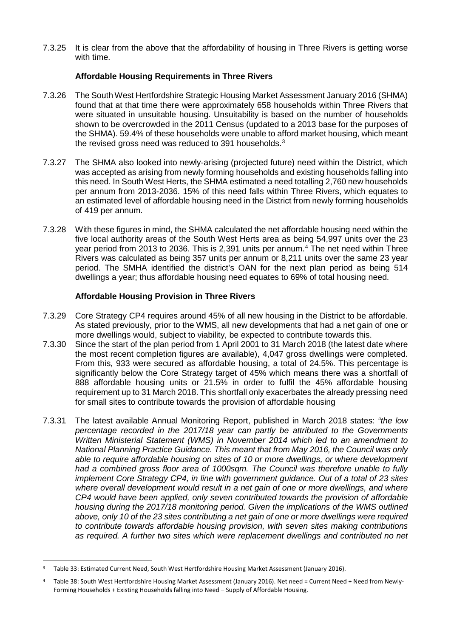7.3.25 It is clear from the above that the affordability of housing in Three Rivers is getting worse with time.

# **Affordable Housing Requirements in Three Rivers**

- 7.3.26 The South West Hertfordshire Strategic Housing Market Assessment January 2016 (SHMA) found that at that time there were approximately 658 households within Three Rivers that were situated in unsuitable housing. Unsuitability is based on the number of households shown to be overcrowded in the 2011 Census (updated to a 2013 base for the purposes of the SHMA). 59.4% of these households were unable to afford market housing, which meant the revised gross need was reduced to [3](#page-13-0)91 households. $3$
- 7.3.27 The SHMA also looked into newly-arising (projected future) need within the District, which was accepted as arising from newly forming households and existing households falling into this need. In South West Herts, the SHMA estimated a need totalling 2,760 new households per annum from 2013-2036. 15% of this need falls within Three Rivers, which equates to an estimated level of affordable housing need in the District from newly forming households of 419 per annum.
- 7.3.28 With these figures in mind, the SHMA calculated the net affordable housing need within the five local authority areas of the South West Herts area as being 54,997 units over the 23 year period from 2013 to 2036. This is 2,391 units per annum.[4](#page-13-1) The net need within Three Rivers was calculated as being 357 units per annum or 8,211 units over the same 23 year period. The SMHA identified the district's OAN for the next plan period as being 514 dwellings a year; thus affordable housing need equates to 69% of total housing need.

## **Affordable Housing Provision in Three Rivers**

- 7.3.29 Core Strategy CP4 requires around 45% of all new housing in the District to be affordable. As stated previously, prior to the WMS, all new developments that had a net gain of one or more dwellings would, subject to viability, be expected to contribute towards this.
- 7.3.30 Since the start of the plan period from 1 April 2001 to 31 March 2018 (the latest date where the most recent completion figures are available), 4,047 gross dwellings were completed. From this, 933 were secured as affordable housing, a total of 24.5%. This percentage is significantly below the Core Strategy target of 45% which means there was a shortfall of 888 affordable housing units or 21.5% in order to fulfil the 45% affordable housing requirement up to 31 March 2018. This shortfall only exacerbates the already pressing need for small sites to contribute towards the provision of affordable housing
- 7.3.31 The latest available Annual Monitoring Report, published in March 2018 states: *"the low percentage recorded in the 2017/18 year can partly be attributed to the Governments Written Ministerial Statement (WMS) in November 2014 which led to an amendment to National Planning Practice Guidance. This meant that from May 2016, the Council was only able to require affordable housing on sites of 10 or more dwellings, or where development had a combined gross floor area of 1000sqm. The Council was therefore unable to fully implement Core Strategy CP4, in line with government guidance. Out of a total of 23 sites where overall development would result in a net gain of one or more dwellings, and where CP4 would have been applied, only seven contributed towards the provision of affordable housing during the 2017/18 monitoring period. Given the implications of the WMS outlined above, only 10 of the 23 sites contributing a net gain of one or more dwellings were required to contribute towards affordable housing provision, with seven sites making contributions as required. A further two sites which were replacement dwellings and contributed no net*

-

<span id="page-13-0"></span><sup>3</sup> Table 33: Estimated Current Need, South West Hertfordshire Housing Market Assessment (January 2016).

<span id="page-13-1"></span><sup>4</sup> Table 38: South West Hertfordshire Housing Market Assessment (January 2016). Net need = Current Need + Need from Newly-Forming Households + Existing Households falling into Need – Supply of Affordable Housing.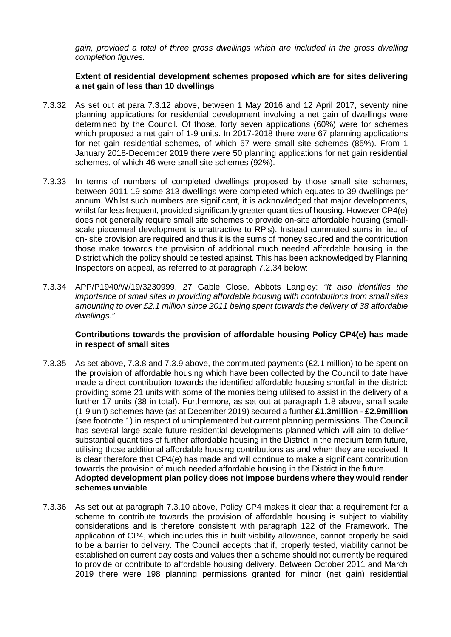*gain, provided a total of three gross dwellings which are included in the gross dwelling completion figures.*

## **Extent of residential development schemes proposed which are for sites delivering a net gain of less than 10 dwellings**

- 7.3.32 As set out at para 7.3.12 above, between 1 May 2016 and 12 April 2017, seventy nine planning applications for residential development involving a net gain of dwellings were determined by the Council. Of those, forty seven applications (60%) were for schemes which proposed a net gain of 1-9 units. In 2017-2018 there were 67 planning applications for net gain residential schemes, of which 57 were small site schemes (85%). From 1 January 2018-December 2019 there were 50 planning applications for net gain residential schemes, of which 46 were small site schemes (92%).
- 7.3.33 In terms of numbers of completed dwellings proposed by those small site schemes, between 2011-19 some 313 dwellings were completed which equates to 39 dwellings per annum. Whilst such numbers are significant, it is acknowledged that major developments, whilst far less frequent, provided significantly greater quantities of housing. However CP4(e) does not generally require small site schemes to provide on-site affordable housing (smallscale piecemeal development is unattractive to RP's). Instead commuted sums in lieu of on- site provision are required and thus it is the sums of money secured and the contribution those make towards the provision of additional much needed affordable housing in the District which the policy should be tested against. This has been acknowledged by Planning Inspectors on appeal, as referred to at paragraph 7.2.34 below:
- 7.3.34 APP/P1940/W/19/3230999, 27 Gable Close, Abbots Langley: *"It also identifies the importance of small sites in providing affordable housing with contributions from small sites amounting to over £2.1 million since 2011 being spent towards the delivery of 38 affordable dwellings."*

### **Contributions towards the provision of affordable housing Policy CP4(e) has made in respect of small sites**

- 7.3.35 As set above, 7.3.8 and 7.3.9 above, the commuted payments (£2.1 million) to be spent on the provision of affordable housing which have been collected by the Council to date have made a direct contribution towards the identified affordable housing shortfall in the district: providing some 21 units with some of the monies being utilised to assist in the delivery of a further 17 units (38 in total). Furthermore, as set out at paragraph 1.8 above, small scale (1-9 unit) schemes have (as at December 2019) secured a further **£1.3million - £2.9million**  (see footnote 1) in respect of unimplemented but current planning permissions. The Council has several large scale future residential developments planned which will aim to deliver substantial quantities of further affordable housing in the District in the medium term future, utilising those additional affordable housing contributions as and when they are received. It is clear therefore that CP4(e) has made and will continue to make a significant contribution towards the provision of much needed affordable housing in the District in the future. **Adopted development plan policy does not impose burdens where they would render schemes unviable**
- 7.3.36 As set out at paragraph 7.3.10 above, Policy CP4 makes it clear that a requirement for a scheme to contribute towards the provision of affordable housing is subject to viability considerations and is therefore consistent with paragraph 122 of the Framework. The application of CP4, which includes this in built viability allowance, cannot properly be said to be a barrier to delivery. The Council accepts that if, properly tested, viability cannot be established on current day costs and values then a scheme should not currently be required to provide or contribute to affordable housing delivery. Between October 2011 and March 2019 there were 198 planning permissions granted for minor (net gain) residential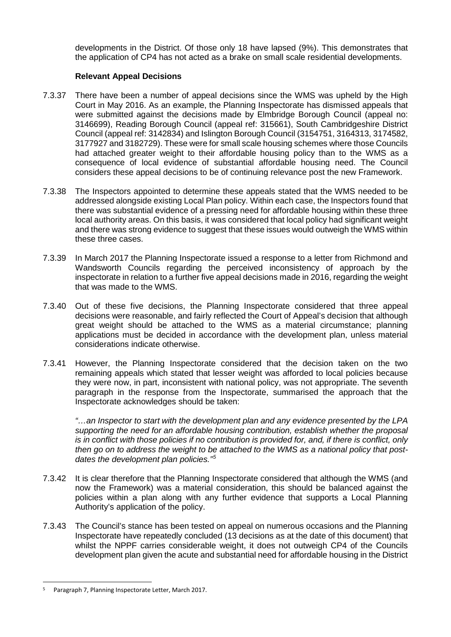developments in the District. Of those only 18 have lapsed (9%). This demonstrates that the application of CP4 has not acted as a brake on small scale residential developments.

# **Relevant Appeal Decisions**

- 7.3.37 There have been a number of appeal decisions since the WMS was upheld by the High Court in May 2016. As an example, the Planning Inspectorate has dismissed appeals that were submitted against the decisions made by Elmbridge Borough Council (appeal no: 3146699), Reading Borough Council (appeal ref: 315661), South Cambridgeshire District Council (appeal ref: 3142834) and Islington Borough Council (3154751, 3164313, 3174582, 3177927 and 3182729). These were for small scale housing schemes where those Councils had attached greater weight to their affordable housing policy than to the WMS as a consequence of local evidence of substantial affordable housing need. The Council considers these appeal decisions to be of continuing relevance post the new Framework.
- 7.3.38 The Inspectors appointed to determine these appeals stated that the WMS needed to be addressed alongside existing Local Plan policy. Within each case, the Inspectors found that there was substantial evidence of a pressing need for affordable housing within these three local authority areas. On this basis, it was considered that local policy had significant weight and there was strong evidence to suggest that these issues would outweigh the WMS within these three cases.
- 7.3.39 In March 2017 the Planning Inspectorate issued a response to a letter from Richmond and Wandsworth Councils regarding the perceived inconsistency of approach by the inspectorate in relation to a further five appeal decisions made in 2016, regarding the weight that was made to the WMS.
- 7.3.40 Out of these five decisions, the Planning Inspectorate considered that three appeal decisions were reasonable, and fairly reflected the Court of Appeal's decision that although great weight should be attached to the WMS as a material circumstance; planning applications must be decided in accordance with the development plan, unless material considerations indicate otherwise.
- 7.3.41 However, the Planning Inspectorate considered that the decision taken on the two remaining appeals which stated that lesser weight was afforded to local policies because they were now, in part, inconsistent with national policy, was not appropriate. The seventh paragraph in the response from the Inspectorate, summarised the approach that the Inspectorate acknowledges should be taken:

*"…an Inspector to start with the development plan and any evidence presented by the LPA supporting the need for an affordable housing contribution, establish whether the proposal is in conflict with those policies if no contribution is provided for, and, if there is conflict, only then go on to address the weight to be attached to the WMS as a national policy that postdates the development plan policies."[5](#page-15-0)*

- 7.3.42 It is clear therefore that the Planning Inspectorate considered that although the WMS (and now the Framework) was a material consideration, this should be balanced against the policies within a plan along with any further evidence that supports a Local Planning Authority's application of the policy.
- 7.3.43 The Council's stance has been tested on appeal on numerous occasions and the Planning Inspectorate have repeatedly concluded (13 decisions as at the date of this document) that whilst the NPPF carries considerable weight, it does not outweigh CP4 of the Councils development plan given the acute and substantial need for affordable housing in the District

-

<span id="page-15-0"></span><sup>5</sup> Paragraph 7, Planning Inspectorate Letter, March 2017.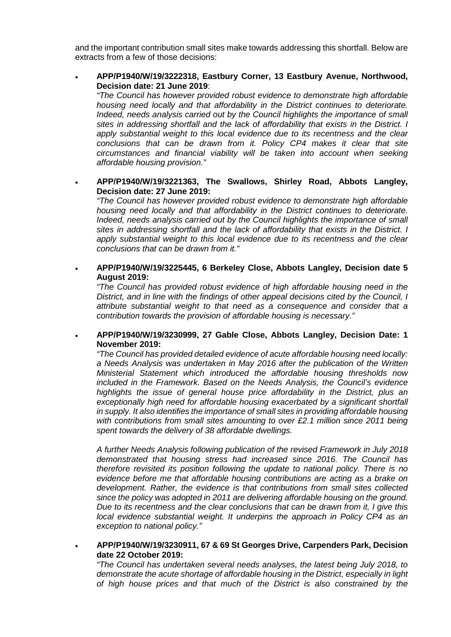and the important contribution small sites make towards addressing this shortfall. Below are extracts from a few of those decisions:

• **APP/P1940/W/19/3222318, Eastbury Corner, 13 Eastbury Avenue, Northwood, Decision date: 21 June 2019**:

*"The Council has however provided robust evidence to demonstrate high affordable housing need locally and that affordability in the District continues to deteriorate. Indeed, needs analysis carried out by the Council highlights the importance of small sites in addressing shortfall and the lack of affordability that exists in the District. I apply substantial weight to this local evidence due to its recentness and the clear conclusions that can be drawn from it. Policy CP4 makes it clear that site circumstances and financial viability will be taken into account when seeking affordable housing provision."*

• **APP/P1940/W/19/3221363, The Swallows, Shirley Road, Abbots Langley, Decision date: 27 June 2019:**

*"The Council has however provided robust evidence to demonstrate high affordable housing need locally and that affordability in the District continues to deteriorate. Indeed, needs analysis carried out by the Council highlights the importance of small sites in addressing shortfall and the lack of affordability that exists in the District. I*  apply substantial weight to this local evidence due to its recentness and the clear *conclusions that can be drawn from it."*

• **APP/P1940/W/19/3225445, 6 Berkeley Close, Abbots Langley, Decision date 5 August 2019:**

*"The Council has provided robust evidence of high affordable housing need in the District, and in line with the findings of other appeal decisions cited by the Council, I attribute substantial weight to that need as a consequence and consider that a contribution towards the provision of affordable housing is necessary."*

• **APP/P1940/W/19/3230999, 27 Gable Close, Abbots Langley, Decision Date: 1 November 2019:**

*"The Council has provided detailed evidence of acute affordable housing need locally: a Needs Analysis was undertaken in May 2016 after the publication of the Written Ministerial Statement which introduced the affordable housing thresholds now included in the Framework. Based on the Needs Analysis, the Council's evidence highlights the issue of general house price affordability in the District, plus an exceptionally high need for affordable housing exacerbated by a significant shortfall in supply. It also identifies the importance of small sites in providing affordable housing with contributions from small sites amounting to over £2.1 million since 2011 being spent towards the delivery of 38 affordable dwellings.*

*A further Needs Analysis following publication of the revised Framework in July 2018 demonstrated that housing stress had increased since 2016. The Council has therefore revisited its position following the update to national policy. There is no evidence before me that affordable housing contributions are acting as a brake on development. Rather, the evidence is that contributions from small sites collected since the policy was adopted in 2011 are delivering affordable housing on the ground. Due to its recentness and the clear conclusions that can be drawn from it, I give this local evidence substantial weight. It underpins the approach in Policy CP4 as an exception to national policy."*

• **APP/P1940/W/19/3230911, 67 & 69 St Georges Drive, Carpenders Park, Decision date 22 October 2019:**

*"The Council has undertaken several needs analyses, the latest being July 2018, to demonstrate the acute shortage of affordable housing in the District, especially in light of high house prices and that much of the District is also constrained by the*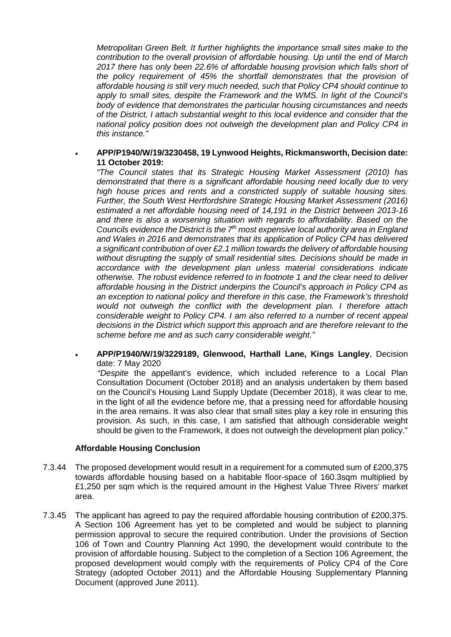*Metropolitan Green Belt. It further highlights the importance small sites make to the contribution to the overall provision of affordable housing. Up until the end of March 2017 there has only been 22.6% of affordable housing provision which falls short of the policy requirement of 45% the shortfall demonstrates that the provision of affordable housing is still very much needed, such that Policy CP4 should continue to apply to small sites, despite the Framework and the WMS. In light of the Council's body of evidence that demonstrates the particular housing circumstances and needs of the District, I attach substantial weight to this local evidence and consider that the national policy position does not outweigh the development plan and Policy CP4 in this instance."*

## • **APP/P1940/W/19/3230458, 19 Lynwood Heights, Rickmansworth, Decision date: 11 October 2019:**

*"The Council states that its Strategic Housing Market Assessment (2010) has demonstrated that there is a significant affordable housing need locally due to very high house prices and rents and a constricted supply of suitable housing sites. Further, the South West Hertfordshire Strategic Housing Market Assessment (2016) estimated a net affordable housing need of 14,191 in the District between 2013-16 and there is also a worsening situation with regards to affordability. Based on the Councils evidence the District is the 7th most expensive local authority area in England and Wales in 2016 and demonstrates that its application of Policy CP4 has delivered a significant contribution of over £2.1 million towards the delivery of affordable housing without disrupting the supply of small residential sites. Decisions should be made in accordance with the development plan unless material considerations indicate otherwise. The robust evidence referred to in footnote 1 and the clear need to deliver affordable housing in the District underpins the Council's approach in Policy CP4 as an exception to national policy and therefore in this case, the Framework's threshold would not outweigh the conflict with the development plan. I therefore attach considerable weight to Policy CP4. I am also referred to a number of recent appeal decisions in the District which support this approach and are therefore relevant to the scheme before me and as such carry considerable weight."*

### • **APP/P1940/W/19/3229189, Glenwood, Harthall Lane, Kings Langley**, Decision date: 7 May 2020

*"Despite* the appellant's evidence, which included reference to a Local Plan Consultation Document (October 2018) and an analysis undertaken by them based on the Council's Housing Land Supply Update (December 2018), it was clear to me, in the light of all the evidence before me, that a pressing need for affordable housing in the area remains. It was also clear that small sites play a key role in ensuring this provision. As such, in this case, I am satisfied that although considerable weight should be given to the Framework, it does not outweigh the development plan policy."

#### **Affordable Housing Conclusion**

- 7.3.44 The proposed development would result in a requirement for a commuted sum of £200,375 towards affordable housing based on a habitable floor-space of 160.3sqm multiplied by £1,250 per sqm which is the required amount in the Highest Value Three Rivers' market area.
- 7.3.45 The applicant has agreed to pay the required affordable housing contribution of £200,375. A Section 106 Agreement has yet to be completed and would be subject to planning permission approval to secure the required contribution. Under the provisions of Section 106 of Town and Country Planning Act 1990, the development would contribute to the provision of affordable housing. Subject to the completion of a Section 106 Agreement, the proposed development would comply with the requirements of Policy CP4 of the Core Strategy (adopted October 2011) and the Affordable Housing Supplementary Planning Document (approved June 2011).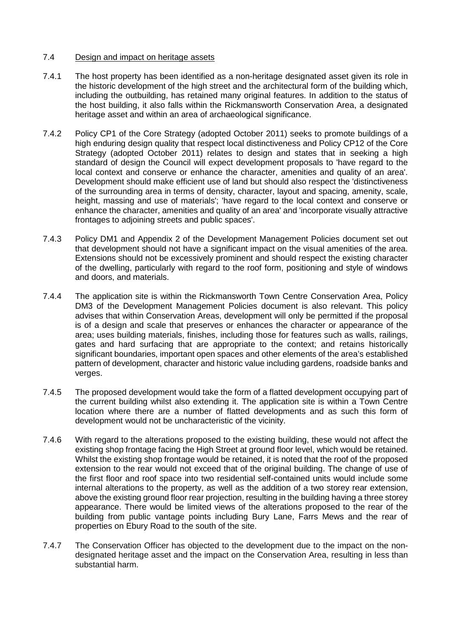## 7.4 Design and impact on heritage assets

- 7.4.1 The host property has been identified as a non-heritage designated asset given its role in the historic development of the high street and the architectural form of the building which, including the outbuilding, has retained many original features. In addition to the status of the host building, it also falls within the Rickmansworth Conservation Area, a designated heritage asset and within an area of archaeological significance.
- 7.4.2 Policy CP1 of the Core Strategy (adopted October 2011) seeks to promote buildings of a high enduring design quality that respect local distinctiveness and Policy CP12 of the Core Strategy (adopted October 2011) relates to design and states that in seeking a high standard of design the Council will expect development proposals to 'have regard to the local context and conserve or enhance the character, amenities and quality of an area'. Development should make efficient use of land but should also respect the 'distinctiveness of the surrounding area in terms of density, character, layout and spacing, amenity, scale, height, massing and use of materials'; 'have regard to the local context and conserve or enhance the character, amenities and quality of an area' and 'incorporate visually attractive frontages to adjoining streets and public spaces'.
- 7.4.3 Policy DM1 and Appendix 2 of the Development Management Policies document set out that development should not have a significant impact on the visual amenities of the area. Extensions should not be excessively prominent and should respect the existing character of the dwelling, particularly with regard to the roof form, positioning and style of windows and doors, and materials.
- 7.4.4 The application site is within the Rickmansworth Town Centre Conservation Area, Policy DM3 of the Development Management Policies document is also relevant. This policy advises that within Conservation Areas, development will only be permitted if the proposal is of a design and scale that preserves or enhances the character or appearance of the area; uses building materials, finishes, including those for features such as walls, railings, gates and hard surfacing that are appropriate to the context; and retains historically significant boundaries, important open spaces and other elements of the area's established pattern of development, character and historic value including gardens, roadside banks and verges.
- 7.4.5 The proposed development would take the form of a flatted development occupying part of the current building whilst also extending it. The application site is within a Town Centre location where there are a number of flatted developments and as such this form of development would not be uncharacteristic of the vicinity.
- 7.4.6 With regard to the alterations proposed to the existing building, these would not affect the existing shop frontage facing the High Street at ground floor level, which would be retained. Whilst the existing shop frontage would be retained, it is noted that the roof of the proposed extension to the rear would not exceed that of the original building. The change of use of the first floor and roof space into two residential self-contained units would include some internal alterations to the property, as well as the addition of a two storey rear extension, above the existing ground floor rear projection, resulting in the building having a three storey appearance. There would be limited views of the alterations proposed to the rear of the building from public vantage points including Bury Lane, Farrs Mews and the rear of properties on Ebury Road to the south of the site.
- 7.4.7 The Conservation Officer has objected to the development due to the impact on the nondesignated heritage asset and the impact on the Conservation Area, resulting in less than substantial harm.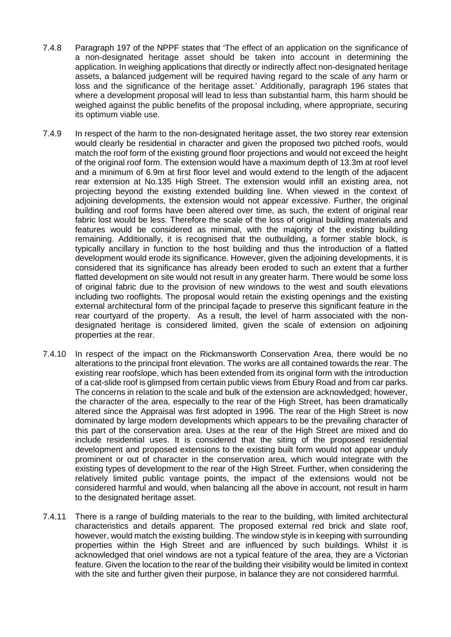- 7.4.8 Paragraph 197 of the NPPF states that 'The effect of an application on the significance of a non-designated heritage asset should be taken into account in determining the application. In weighing applications that directly or indirectly affect non-designated heritage assets, a balanced judgement will be required having regard to the scale of any harm or loss and the significance of the heritage asset.' Additionally, paragraph 196 states that where a development proposal will lead to less than substantial harm, this harm should be weighed against the public benefits of the proposal including, where appropriate, securing its optimum viable use.
- 7.4.9 In respect of the harm to the non-designated heritage asset, the two storey rear extension would clearly be residential in character and given the proposed two pitched roofs, would match the roof form of the existing ground floor projections and would not exceed the height of the original roof form. The extension would have a maximum depth of 13.3m at roof level and a minimum of 6.9m at first floor level and would extend to the length of the adjacent rear extension at No.135 High Street. The extension would infill an existing area, not projecting beyond the existing extended building line. When viewed in the context of adjoining developments, the extension would not appear excessive. Further, the original building and roof forms have been altered over time, as such, the extent of original rear fabric lost would be less. Therefore the scale of the loss of original building materials and features would be considered as minimal, with the majority of the existing building remaining. Additionally, it is recognised that the outbuilding, a former stable block, is typically ancillary in function to the host building and thus the introduction of a flatted development would erode its significance. However, given the adjoining developments, it is considered that its significance has already been eroded to such an extent that a further flatted development on site would not result in any greater harm. There would be some loss of original fabric due to the provision of new windows to the west and south elevations including two rooflights. The proposal would retain the existing openings and the existing external architectural form of the principal façade to preserve this significant feature in the rear courtyard of the property. As a result, the level of harm associated with the nondesignated heritage is considered limited, given the scale of extension on adjoining properties at the rear.
- 7.4.10 In respect of the impact on the Rickmansworth Conservation Area, there would be no alterations to the principal front elevation. The works are all contained towards the rear. The existing rear roofslope, which has been extended from its original form with the introduction of a cat-slide roof is glimpsed from certain public views from Ebury Road and from car parks. The concerns in relation to the scale and bulk of the extension are acknowledged; however, the character of the area, especially to the rear of the High Street, has been dramatically altered since the Appraisal was first adopted in 1996. The rear of the High Street is now dominated by large modern developments which appears to be the prevailing character of this part of the conservation area. Uses at the rear of the High Street are mixed and do include residential uses. It is considered that the siting of the proposed residential development and proposed extensions to the existing built form would not appear unduly prominent or out of character in the conservation area, which would integrate with the existing types of development to the rear of the High Street. Further, when considering the relatively limited public vantage points, the impact of the extensions would not be considered harmful and would, when balancing all the above in account, not result in harm to the designated heritage asset.
- 7.4.11 There is a range of building materials to the rear to the building, with limited architectural characteristics and details apparent. The proposed external red brick and slate roof, however, would match the existing building. The window style is in keeping with surrounding properties within the High Street and are influenced by such buildings. Whilst it is acknowledged that oriel windows are not a typical feature of the area, they are a Victorian feature. Given the location to the rear of the building their visibility would be limited in context with the site and further given their purpose, in balance they are not considered harmful.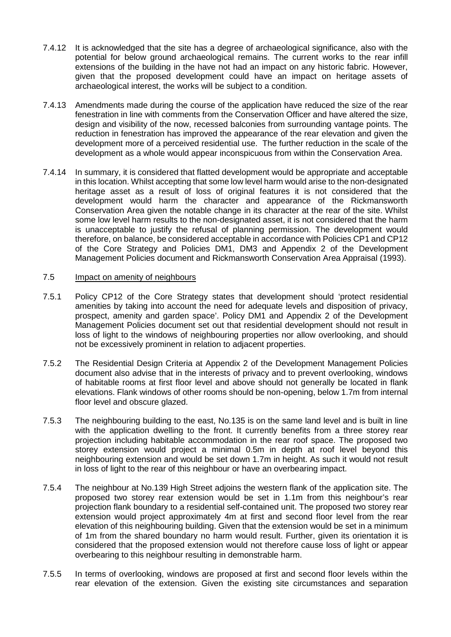- 7.4.12 It is acknowledged that the site has a degree of archaeological significance, also with the potential for below ground archaeological remains. The current works to the rear infill extensions of the building in the have not had an impact on any historic fabric. However, given that the proposed development could have an impact on heritage assets of archaeological interest, the works will be subject to a condition.
- 7.4.13 Amendments made during the course of the application have reduced the size of the rear fenestration in line with comments from the Conservation Officer and have altered the size, design and visibility of the now, recessed balconies from surrounding vantage points. The reduction in fenestration has improved the appearance of the rear elevation and given the development more of a perceived residential use. The further reduction in the scale of the development as a whole would appear inconspicuous from within the Conservation Area.
- 7.4.14 In summary, it is considered that flatted development would be appropriate and acceptable in this location. Whilst accepting that some low level harm would arise to the non-designated heritage asset as a result of loss of original features it is not considered that the development would harm the character and appearance of the Rickmansworth Conservation Area given the notable change in its character at the rear of the site. Whilst some low level harm results to the non-designated asset, it is not considered that the harm is unacceptable to justify the refusal of planning permission. The development would therefore, on balance, be considered acceptable in accordance with Policies CP1 and CP12 of the Core Strategy and Policies DM1, DM3 and Appendix 2 of the Development Management Policies document and Rickmansworth Conservation Area Appraisal (1993).

# 7.5 Impact on amenity of neighbours

- 7.5.1 Policy CP12 of the Core Strategy states that development should 'protect residential amenities by taking into account the need for adequate levels and disposition of privacy, prospect, amenity and garden space'. Policy DM1 and Appendix 2 of the Development Management Policies document set out that residential development should not result in loss of light to the windows of neighbouring properties nor allow overlooking, and should not be excessively prominent in relation to adjacent properties.
- 7.5.2 The Residential Design Criteria at Appendix 2 of the Development Management Policies document also advise that in the interests of privacy and to prevent overlooking, windows of habitable rooms at first floor level and above should not generally be located in flank elevations. Flank windows of other rooms should be non-opening, below 1.7m from internal floor level and obscure glazed.
- 7.5.3 The neighbouring building to the east, No.135 is on the same land level and is built in line with the application dwelling to the front. It currently benefits from a three storey rear projection including habitable accommodation in the rear roof space. The proposed two storey extension would project a minimal 0.5m in depth at roof level beyond this neighbouring extension and would be set down 1.7m in height. As such it would not result in loss of light to the rear of this neighbour or have an overbearing impact.
- 7.5.4 The neighbour at No.139 High Street adjoins the western flank of the application site. The proposed two storey rear extension would be set in 1.1m from this neighbour's rear projection flank boundary to a residential self-contained unit. The proposed two storey rear extension would project approximately 4m at first and second floor level from the rear elevation of this neighbouring building. Given that the extension would be set in a minimum of 1m from the shared boundary no harm would result. Further, given its orientation it is considered that the proposed extension would not therefore cause loss of light or appear overbearing to this neighbour resulting in demonstrable harm.
- 7.5.5 In terms of overlooking, windows are proposed at first and second floor levels within the rear elevation of the extension. Given the existing site circumstances and separation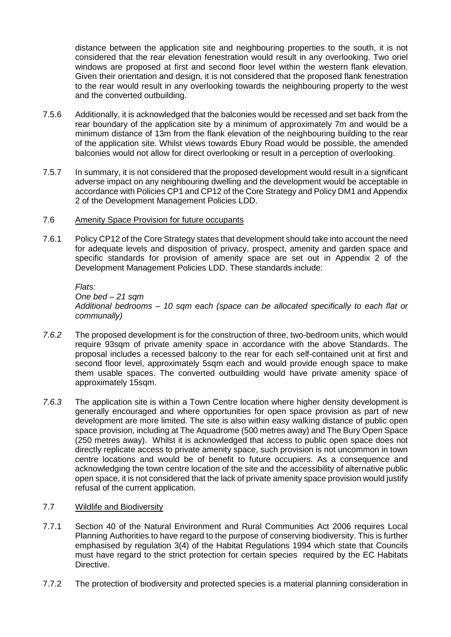distance between the application site and neighbouring properties to the south, it is not considered that the rear elevation fenestration would result in any overlooking. Two oriel windows are proposed at first and second floor level within the western flank elevation. Given their orientation and design, it is not considered that the proposed flank fenestration to the rear would result in any overlooking towards the neighbouring property to the west and the converted outbuilding.

- 7.5.6 Additionally, it is acknowledged that the balconies would be recessed and set back from the rear boundary of the application site by a minimum of approximately 7m and would be a minimum distance of 13m from the flank elevation of the neighbouring building to the rear of the application site. Whilst views towards Ebury Road would be possible, the amended balconies would not allow for direct overlooking or result in a perception of overlooking.
- 7.5.7 In summary, it is not considered that the proposed development would result in a significant adverse impact on any neighbouring dwelling and the development would be acceptable in accordance with Policies CP1 and CP12 of the Core Strategy and Policy DM1 and Appendix 2 of the Development Management Policies LDD.

## 7.6 Amenity Space Provision for future occupants

7.6.1 Policy CP12 of the Core Strategy states that development should take into account the need for adequate levels and disposition of privacy, prospect, amenity and garden space and specific standards for provision of amenity space are set out in Appendix 2 of the Development Management Policies LDD. These standards include:

*Flats: One bed – 21 sqm Additional bedrooms – 10 sqm each (space can be allocated specifically to each flat or communally)*

- *7.6.2* The proposed development is for the construction of three, two-bedroom units, which would require 93sqm of private amenity space in accordance with the above Standards. The proposal includes a recessed balcony to the rear for each self-contained unit at first and second floor level, approximately 5sqm each and would provide enough space to make them usable spaces. The converted outbuilding would have private amenity space of approximately 15sqm.
- *7.6.3* The application site is within a Town Centre location where higher density development is generally encouraged and where opportunities for open space provision as part of new development are more limited. The site is also within easy walking distance of public open space provision, including at The Aquadrome (500 metres away) and The Bury Open Space (250 metres away). Whilst it is acknowledged that access to public open space does not directly replicate access to private amenity space, such provision is not uncommon in town centre locations and would be of benefit to future occupiers. As a consequence and acknowledging the town centre location of the site and the accessibility of alternative public open space, it is not considered that the lack of private amenity space provision would justify refusal of the current application.

## 7.7 Wildlife and Biodiversity

- 7.7.1 Section 40 of the Natural Environment and Rural Communities Act 2006 requires Local Planning Authorities to have regard to the purpose of conserving biodiversity. This is further emphasised by regulation 3(4) of the Habitat Regulations 1994 which state that Councils must have regard to the strict protection for certain species required by the EC Habitats Directive.
- 7.7.2 The protection of biodiversity and protected species is a material planning consideration in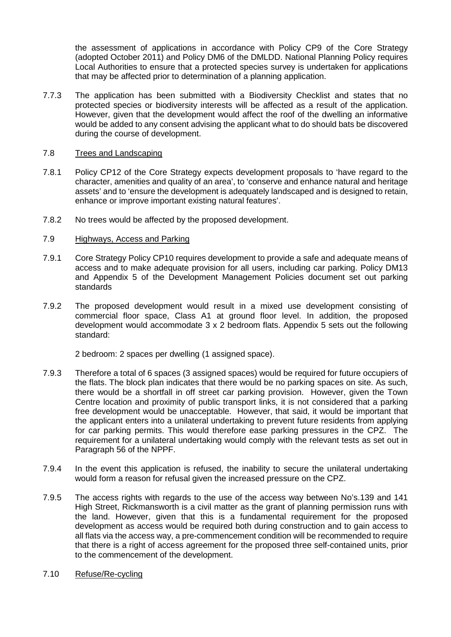the assessment of applications in accordance with Policy CP9 of the Core Strategy (adopted October 2011) and Policy DM6 of the DMLDD. National Planning Policy requires Local Authorities to ensure that a protected species survey is undertaken for applications that may be affected prior to determination of a planning application.

7.7.3 The application has been submitted with a Biodiversity Checklist and states that no protected species or biodiversity interests will be affected as a result of the application. However, given that the development would affect the roof of the dwelling an informative would be added to any consent advising the applicant what to do should bats be discovered during the course of development.

### 7.8 Trees and Landscaping

- 7.8.1 Policy CP12 of the Core Strategy expects development proposals to 'have regard to the character, amenities and quality of an area', to 'conserve and enhance natural and heritage assets' and to 'ensure the development is adequately landscaped and is designed to retain, enhance or improve important existing natural features'.
- 7.8.2 No trees would be affected by the proposed development.

### 7.9 Highways, Access and Parking

- 7.9.1 Core Strategy Policy CP10 requires development to provide a safe and adequate means of access and to make adequate provision for all users, including car parking. Policy DM13 and Appendix 5 of the Development Management Policies document set out parking standards
- 7.9.2 The proposed development would result in a mixed use development consisting of commercial floor space, Class A1 at ground floor level. In addition, the proposed development would accommodate 3 x 2 bedroom flats. Appendix 5 sets out the following standard:

2 bedroom: 2 spaces per dwelling (1 assigned space).

- 7.9.3 Therefore a total of 6 spaces (3 assigned spaces) would be required for future occupiers of the flats. The block plan indicates that there would be no parking spaces on site. As such, there would be a shortfall in off street car parking provision. However, given the Town Centre location and proximity of public transport links, it is not considered that a parking free development would be unacceptable. However, that said, it would be important that the applicant enters into a unilateral undertaking to prevent future residents from applying for car parking permits. This would therefore ease parking pressures in the CPZ. The requirement for a unilateral undertaking would comply with the relevant tests as set out in Paragraph 56 of the NPPF.
- 7.9.4 In the event this application is refused, the inability to secure the unilateral undertaking would form a reason for refusal given the increased pressure on the CPZ.
- 7.9.5 The access rights with regards to the use of the access way between No's.139 and 141 High Street, Rickmansworth is a civil matter as the grant of planning permission runs with the land. However, given that this is a fundamental requirement for the proposed development as access would be required both during construction and to gain access to all flats via the access way, a pre-commencement condition will be recommended to require that there is a right of access agreement for the proposed three self-contained units, prior to the commencement of the development.
- 7.10 Refuse/Re-cycling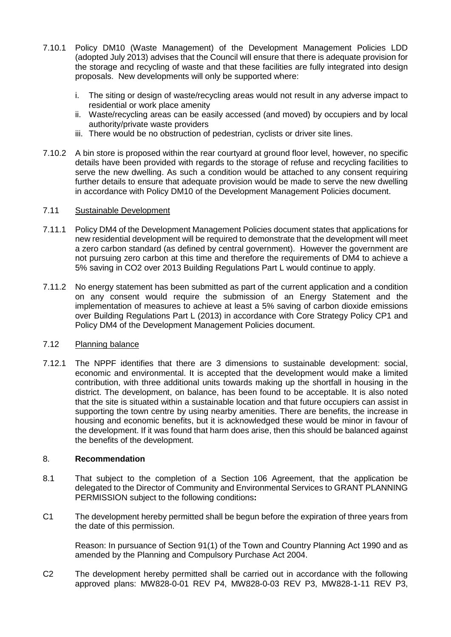- 7.10.1 Policy DM10 (Waste Management) of the Development Management Policies LDD (adopted July 2013) advises that the Council will ensure that there is adequate provision for the storage and recycling of waste and that these facilities are fully integrated into design proposals. New developments will only be supported where:
	- i. The siting or design of waste/recycling areas would not result in any adverse impact to residential or work place amenity
	- ii. Waste/recycling areas can be easily accessed (and moved) by occupiers and by local authority/private waste providers
	- iii. There would be no obstruction of pedestrian, cyclists or driver site lines.
- 7.10.2 A bin store is proposed within the rear courtyard at ground floor level, however, no specific details have been provided with regards to the storage of refuse and recycling facilities to serve the new dwelling. As such a condition would be attached to any consent requiring further details to ensure that adequate provision would be made to serve the new dwelling in accordance with Policy DM10 of the Development Management Policies document.

### 7.11 Sustainable Development

- 7.11.1 Policy DM4 of the Development Management Policies document states that applications for new residential development will be required to demonstrate that the development will meet a zero carbon standard (as defined by central government). However the government are not pursuing zero carbon at this time and therefore the requirements of DM4 to achieve a 5% saving in CO2 over 2013 Building Regulations Part L would continue to apply.
- 7.11.2 No energy statement has been submitted as part of the current application and a condition on any consent would require the submission of an Energy Statement and the implementation of measures to achieve at least a 5% saving of carbon dioxide emissions over Building Regulations Part L (2013) in accordance with Core Strategy Policy CP1 and Policy DM4 of the Development Management Policies document.

#### 7.12 Planning balance

7.12.1 The NPPF identifies that there are 3 dimensions to sustainable development: social, economic and environmental. It is accepted that the development would make a limited contribution, with three additional units towards making up the shortfall in housing in the district. The development, on balance, has been found to be acceptable. It is also noted that the site is situated within a sustainable location and that future occupiers can assist in supporting the town centre by using nearby amenities. There are benefits, the increase in housing and economic benefits, but it is acknowledged these would be minor in favour of the development. If it was found that harm does arise, then this should be balanced against the benefits of the development.

# 8. **Recommendation**

- 8.1 That subject to the completion of a Section 106 Agreement, that the application be delegated to the Director of Community and Environmental Services to GRANT PLANNING PERMISSION subject to the following conditions**:**
- C1 The development hereby permitted shall be begun before the expiration of three years from the date of this permission.

Reason: In pursuance of Section 91(1) of the Town and Country Planning Act 1990 and as amended by the Planning and Compulsory Purchase Act 2004.

C2 The development hereby permitted shall be carried out in accordance with the following approved plans: MW828-0-01 REV P4, MW828-0-03 REV P3, MW828-1-11 REV P3,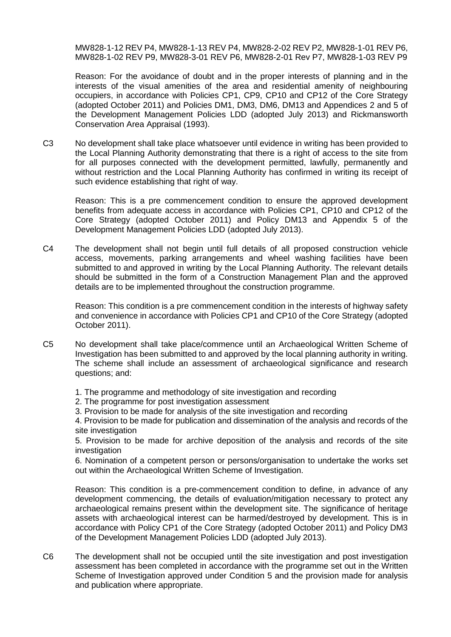MW828-1-12 REV P4, MW828-1-13 REV P4, MW828-2-02 REV P2, MW828-1-01 REV P6, MW828-1-02 REV P9, MW828-3-01 REV P6, MW828-2-01 Rev P7, MW828-1-03 REV P9

Reason: For the avoidance of doubt and in the proper interests of planning and in the interests of the visual amenities of the area and residential amenity of neighbouring occupiers, in accordance with Policies CP1, CP9, CP10 and CP12 of the Core Strategy (adopted October 2011) and Policies DM1, DM3, DM6, DM13 and Appendices 2 and 5 of the Development Management Policies LDD (adopted July 2013) and Rickmansworth Conservation Area Appraisal (1993).

C3 No development shall take place whatsoever until evidence in writing has been provided to the Local Planning Authority demonstrating that there is a right of access to the site from for all purposes connected with the development permitted, lawfully, permanently and without restriction and the Local Planning Authority has confirmed in writing its receipt of such evidence establishing that right of way.

Reason: This is a pre commencement condition to ensure the approved development benefits from adequate access in accordance with Policies CP1, CP10 and CP12 of the Core Strategy (adopted October 2011) and Policy DM13 and Appendix 5 of the Development Management Policies LDD (adopted July 2013).

C4 The development shall not begin until full details of all proposed construction vehicle access, movements, parking arrangements and wheel washing facilities have been submitted to and approved in writing by the Local Planning Authority. The relevant details should be submitted in the form of a Construction Management Plan and the approved details are to be implemented throughout the construction programme.

Reason: This condition is a pre commencement condition in the interests of highway safety and convenience in accordance with Policies CP1 and CP10 of the Core Strategy (adopted October 2011).

- C5 No development shall take place/commence until an Archaeological Written Scheme of Investigation has been submitted to and approved by the local planning authority in writing. The scheme shall include an assessment of archaeological significance and research questions; and:
	- 1. The programme and methodology of site investigation and recording
	- 2. The programme for post investigation assessment
	- 3. Provision to be made for analysis of the site investigation and recording

4. Provision to be made for publication and dissemination of the analysis and records of the site investigation

5. Provision to be made for archive deposition of the analysis and records of the site investigation

6. Nomination of a competent person or persons/organisation to undertake the works set out within the Archaeological Written Scheme of Investigation.

Reason: This condition is a pre-commencement condition to define, in advance of any development commencing, the details of evaluation/mitigation necessary to protect any archaeological remains present within the development site. The significance of heritage assets with archaeological interest can be harmed/destroyed by development. This is in accordance with Policy CP1 of the Core Strategy (adopted October 2011) and Policy DM3 of the Development Management Policies LDD (adopted July 2013).

C6 The development shall not be occupied until the site investigation and post investigation assessment has been completed in accordance with the programme set out in the Written Scheme of Investigation approved under Condition 5 and the provision made for analysis and publication where appropriate.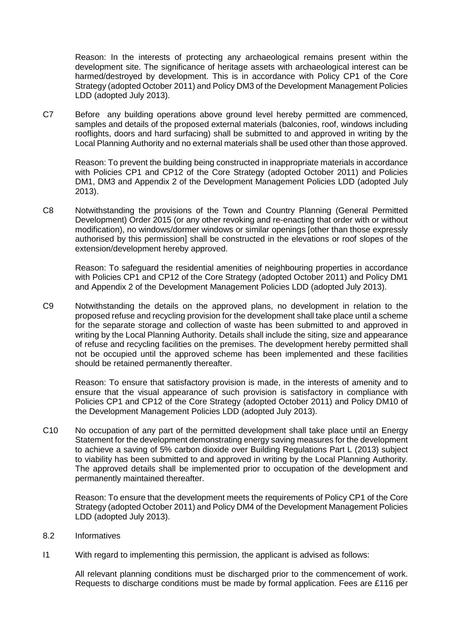Reason: In the interests of protecting any archaeological remains present within the development site. The significance of heritage assets with archaeological interest can be harmed/destroyed by development. This is in accordance with Policy CP1 of the Core Strategy (adopted October 2011) and Policy DM3 of the Development Management Policies LDD (adopted July 2013).

C7 Before any building operations above ground level hereby permitted are commenced, samples and details of the proposed external materials (balconies, roof, windows including rooflights, doors and hard surfacing) shall be submitted to and approved in writing by the Local Planning Authority and no external materials shall be used other than those approved.

Reason: To prevent the building being constructed in inappropriate materials in accordance with Policies CP1 and CP12 of the Core Strategy (adopted October 2011) and Policies DM1, DM3 and Appendix 2 of the Development Management Policies LDD (adopted July 2013).

C8 Notwithstanding the provisions of the Town and Country Planning (General Permitted Development) Order 2015 (or any other revoking and re-enacting that order with or without modification), no windows/dormer windows or similar openings [other than those expressly authorised by this permission] shall be constructed in the elevations or roof slopes of the extension/development hereby approved.

Reason: To safeguard the residential amenities of neighbouring properties in accordance with Policies CP1 and CP12 of the Core Strategy (adopted October 2011) and Policy DM1 and Appendix 2 of the Development Management Policies LDD (adopted July 2013).

C9 Notwithstanding the details on the approved plans, no development in relation to the proposed refuse and recycling provision for the development shall take place until a scheme for the separate storage and collection of waste has been submitted to and approved in writing by the Local Planning Authority. Details shall include the siting, size and appearance of refuse and recycling facilities on the premises. The development hereby permitted shall not be occupied until the approved scheme has been implemented and these facilities should be retained permanently thereafter.

Reason: To ensure that satisfactory provision is made, in the interests of amenity and to ensure that the visual appearance of such provision is satisfactory in compliance with Policies CP1 and CP12 of the Core Strategy (adopted October 2011) and Policy DM10 of the Development Management Policies LDD (adopted July 2013).

C10 No occupation of any part of the permitted development shall take place until an Energy Statement for the development demonstrating energy saving measures for the development to achieve a saving of 5% carbon dioxide over Building Regulations Part L (2013) subject to viability has been submitted to and approved in writing by the Local Planning Authority. The approved details shall be implemented prior to occupation of the development and permanently maintained thereafter.

Reason: To ensure that the development meets the requirements of Policy CP1 of the Core Strategy (adopted October 2011) and Policy DM4 of the Development Management Policies LDD (adopted July 2013).

- 8.2 Informatives
- I1 With regard to implementing this permission, the applicant is advised as follows:

All relevant planning conditions must be discharged prior to the commencement of work. Requests to discharge conditions must be made by formal application. Fees are £116 per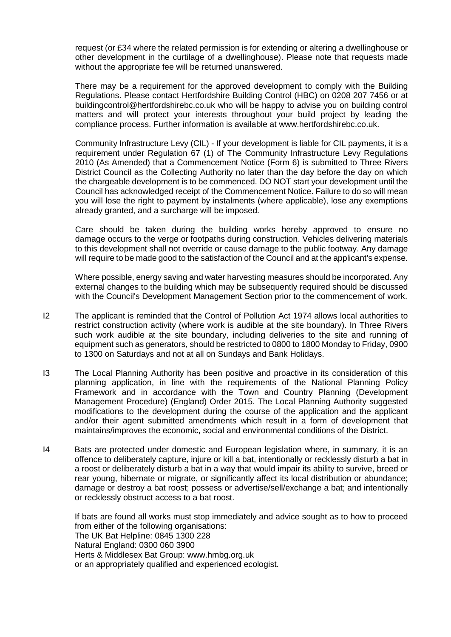request (or £34 where the related permission is for extending or altering a dwellinghouse or other development in the curtilage of a dwellinghouse). Please note that requests made without the appropriate fee will be returned unanswered.

There may be a requirement for the approved development to comply with the Building Regulations. Please contact Hertfordshire Building Control (HBC) on 0208 207 7456 or at buildingcontrol@hertfordshirebc.co.uk who will be happy to advise you on building control matters and will protect your interests throughout your build project by leading the compliance process. Further information is available at www.hertfordshirebc.co.uk.

Community Infrastructure Levy (CIL) - If your development is liable for CIL payments, it is a requirement under Regulation 67 (1) of The Community Infrastructure Levy Regulations 2010 (As Amended) that a Commencement Notice (Form 6) is submitted to Three Rivers District Council as the Collecting Authority no later than the day before the day on which the chargeable development is to be commenced. DO NOT start your development until the Council has acknowledged receipt of the Commencement Notice. Failure to do so will mean you will lose the right to payment by instalments (where applicable), lose any exemptions already granted, and a surcharge will be imposed.

Care should be taken during the building works hereby approved to ensure no damage occurs to the verge or footpaths during construction. Vehicles delivering materials to this development shall not override or cause damage to the public footway. Any damage will require to be made good to the satisfaction of the Council and at the applicant's expense.

Where possible, energy saving and water harvesting measures should be incorporated. Any external changes to the building which may be subsequently required should be discussed with the Council's Development Management Section prior to the commencement of work.

- I2 The applicant is reminded that the Control of Pollution Act 1974 allows local authorities to restrict construction activity (where work is audible at the site boundary). In Three Rivers such work audible at the site boundary, including deliveries to the site and running of equipment such as generators, should be restricted to 0800 to 1800 Monday to Friday, 0900 to 1300 on Saturdays and not at all on Sundays and Bank Holidays.
- I3 The Local Planning Authority has been positive and proactive in its consideration of this planning application, in line with the requirements of the National Planning Policy Framework and in accordance with the Town and Country Planning (Development Management Procedure) (England) Order 2015. The Local Planning Authority suggested modifications to the development during the course of the application and the applicant and/or their agent submitted amendments which result in a form of development that maintains/improves the economic, social and environmental conditions of the District.
- I4 Bats are protected under domestic and European legislation where, in summary, it is an offence to deliberately capture, injure or kill a bat, intentionally or recklessly disturb a bat in a roost or deliberately disturb a bat in a way that would impair its ability to survive, breed or rear young, hibernate or migrate, or significantly affect its local distribution or abundance; damage or destroy a bat roost; possess or advertise/sell/exchange a bat; and intentionally or recklessly obstruct access to a bat roost.

If bats are found all works must stop immediately and advice sought as to how to proceed from either of the following organisations: The UK Bat Helpline: 0845 1300 228 Natural England: 0300 060 3900 Herts & Middlesex Bat Group: www.hmbg.org.uk or an appropriately qualified and experienced ecologist.